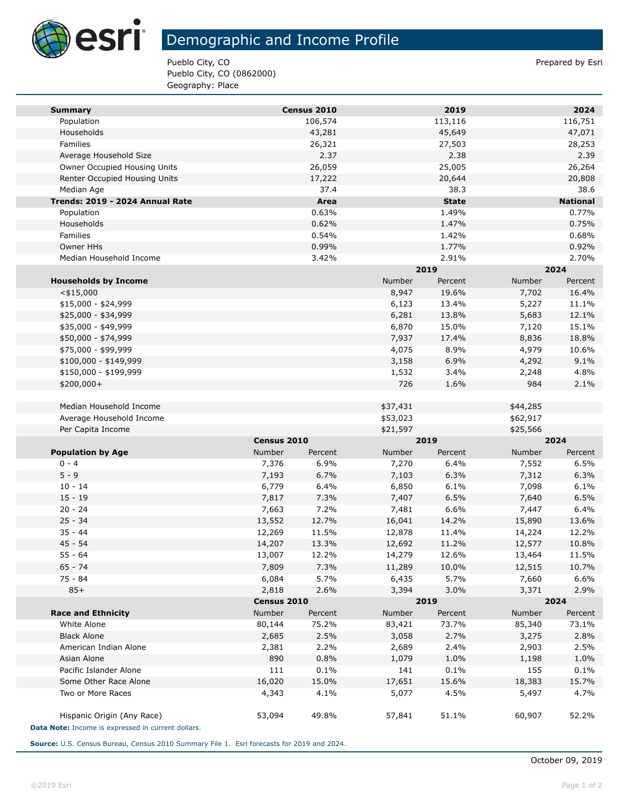

T.

## Demographic and Income Profile

Pueblo City, CO **Prepared by Estimate Prepared by Estimate Prepared by Estimate Prepared by Estimate Prepared by Estimate Prepared by Estimate Prepared by Estimate Prepared by Estimate Prepared by Estimate Prepared by Esti** Pueblo City, CO (0862000) Geography: Place

| <b>Summary</b>                                     |             | Census 2010 |          | 2019         |          | 2024            |  |
|----------------------------------------------------|-------------|-------------|----------|--------------|----------|-----------------|--|
| Population                                         |             | 106,574     |          | 113,116      |          | 116,751         |  |
| Households                                         |             | 43,281      |          | 45,649       |          | 47,071          |  |
| Families                                           |             | 26,321      |          | 27,503       |          | 28,253          |  |
| Average Household Size                             |             | 2.37        |          | 2.38         |          | 2.39            |  |
| Owner Occupied Housing Units                       |             | 26,059      |          | 25,005       |          | 26,264          |  |
| Renter Occupied Housing Units                      |             | 17,222      |          | 20,644       |          | 20,808          |  |
| Median Age                                         |             | 37.4        |          | 38.3         |          | 38.6            |  |
| Trends: 2019 - 2024 Annual Rate                    |             | Area        |          | <b>State</b> |          | <b>National</b> |  |
| Population                                         |             | 0.63%       |          | 1.49%        |          | 0.77%           |  |
| Households                                         |             | 0.62%       |          | 1.47%        |          | 0.75%           |  |
| Families                                           |             | 0.54%       |          | 1.42%        |          | 0.68%           |  |
| Owner HHs                                          |             | 0.99%       |          | 1.77%        |          | 0.92%           |  |
| Median Household Income                            |             | 3.42%       |          | 2.91%        |          | 2.70%           |  |
|                                                    |             |             |          | 2019         |          | 2024            |  |
| <b>Households by Income</b>                        |             |             | Number   | Percent      | Number   | Percent         |  |
| $<$ \$15,000                                       |             |             | 8,947    | 19.6%        | 7,702    | 16.4%           |  |
| $$15,000 - $24,999$                                |             |             | 6,123    | 13.4%        | 5,227    | 11.1%           |  |
| \$25,000 - \$34,999                                |             |             | 6,281    | 13.8%        | 5,683    | 12.1%           |  |
| \$35,000 - \$49,999                                |             |             | 6,870    | 15.0%        | 7,120    | 15.1%           |  |
| \$50,000 - \$74,999                                |             |             | 7,937    | 17.4%        | 8,836    | 18.8%           |  |
| \$75,000 - \$99,999                                |             |             | 4,075    | 8.9%         | 4,979    | 10.6%           |  |
| \$100,000 - \$149,999                              |             |             | 3,158    | 6.9%         | 4,292    | 9.1%            |  |
| \$150,000 - \$199,999                              |             |             | 1,532    | 3.4%         | 2,248    | 4.8%            |  |
| \$200,000+                                         |             |             | 726      | 1.6%         | 984      | 2.1%            |  |
|                                                    |             |             |          |              |          |                 |  |
| Median Household Income                            |             |             | \$37,431 |              | \$44,285 |                 |  |
| Average Household Income                           |             |             | \$53,023 |              | \$62,917 |                 |  |
| Per Capita Income                                  |             |             | \$21,597 |              | \$25,566 |                 |  |
|                                                    | Census 2010 |             |          | 2019         |          | 2024            |  |
| <b>Population by Age</b>                           | Number      | Percent     | Number   | Percent      | Number   | Percent         |  |
| $0 - 4$                                            | 7,376       | 6.9%        | 7,270    | 6.4%         | 7,552    | 6.5%            |  |
| $5 - 9$                                            | 7,193       | 6.7%        | 7,103    | 6.3%         | 7,312    | 6.3%            |  |
| $10 - 14$                                          | 6,779       | 6.4%        | 6,850    | 6.1%         | 7,098    | 6.1%            |  |
| $15 - 19$                                          | 7,817       | 7.3%        | 7,407    | 6.5%         | 7,640    | 6.5%            |  |
| $20 - 24$                                          | 7,663       | 7.2%        | 7,481    | 6.6%         | 7,447    | 6.4%            |  |
| $25 - 34$                                          | 13,552      | 12.7%       | 16,041   | 14.2%        | 15,890   | 13.6%           |  |
| $35 - 44$                                          | 12,269      | 11.5%       | 12,878   | 11.4%        | 14,224   | 12.2%           |  |
| $45 - 54$                                          | 14,207      | 13.3%       | 12,692   | 11.2%        | 12,577   | 10.8%           |  |
| $55 - 64$                                          | 13,007      | 12.2%       | 14,279   | 12.6%        | 13,464   | 11.5%           |  |
| $65 - 74$                                          | 7,809       | 7.3%        | 11,289   | 10.0%        | 12,515   | 10.7%           |  |
| 75 - 84                                            | 6,084       | 5.7%        | 6,435    | 5.7%         | 7,660    | 6.6%            |  |
| $85+$                                              | 2,818       | 2.6%        | 3,394    | 3.0%         | 3,371    | 2.9%            |  |
|                                                    |             | Census 2010 |          | 2019         |          | 2024            |  |
| <b>Race and Ethnicity</b>                          | Number      | Percent     | Number   | Percent      | Number   | Percent         |  |
| White Alone                                        | 80,144      | 75.2%       | 83,421   | 73.7%        | 85,340   | 73.1%           |  |
| <b>Black Alone</b>                                 | 2,685       | 2.5%        | 3,058    | 2.7%         | 3,275    | 2.8%            |  |
| American Indian Alone                              | 2,381       | 2.2%        | 2,689    | 2.4%         | 2,903    | 2.5%            |  |
| Asian Alone                                        | 890         | 0.8%        | 1,079    | 1.0%         | 1,198    | 1.0%            |  |
| Pacific Islander Alone                             | 111         | 0.1%        | 141      | 0.1%         | 155      | 0.1%            |  |
| Some Other Race Alone                              | 16,020      | 15.0%       | 17,651   | 15.6%        | 18,383   | 15.7%           |  |
| Two or More Races                                  | 4,343       | 4.1%        | 5,077    | 4.5%         | 5,497    | 4.7%            |  |
|                                                    |             |             |          |              |          |                 |  |
| Hispanic Origin (Any Race)                         | 53,094      | 49.8%       | 57,841   | 51.1%        | 60,907   | 52.2%           |  |
| Data Note: Income is expressed in current dollars. |             |             |          |              |          |                 |  |

**Source:** U.S. Census Bureau, Census 2010 Summary File 1. Esri forecasts for 2019 and 2024.